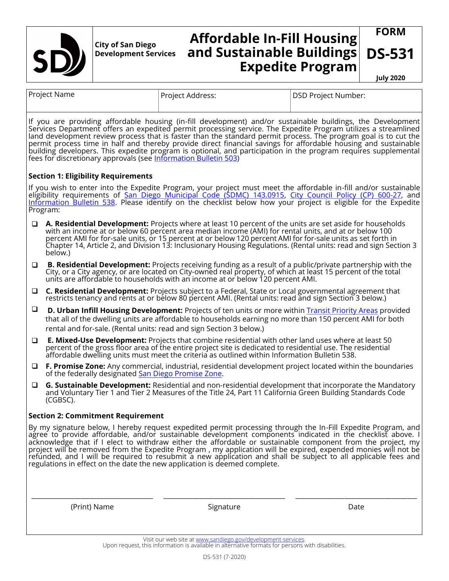

**City of San Diego Development Services**

## **Affordable In-Fill Housing and Sustainable Buildings Expedite Program**

**July 2020**

**FORM**

**DS-531** 

| Project Name                                                                                                                                                                                                                                                                                                                                                 |                                                                     | Project Address:                                                                                                                                                                                                                                                                                                                                                                                                                                     | <b>DSD Project Number:</b>                                                                                                                                                                                                                                                                                                                          |
|--------------------------------------------------------------------------------------------------------------------------------------------------------------------------------------------------------------------------------------------------------------------------------------------------------------------------------------------------------------|---------------------------------------------------------------------|------------------------------------------------------------------------------------------------------------------------------------------------------------------------------------------------------------------------------------------------------------------------------------------------------------------------------------------------------------------------------------------------------------------------------------------------------|-----------------------------------------------------------------------------------------------------------------------------------------------------------------------------------------------------------------------------------------------------------------------------------------------------------------------------------------------------|
|                                                                                                                                                                                                                                                                                                                                                              | fees for discretionary approvals (see Information Bulletin 503)     | If you are providing affordable housing (in-fill development) and/or sustainable buildings, the Development<br>Services Department offers an expedited permit processing service. The Expedite Program utilizes a streamlined                                                                                                                                                                                                                        | land development review process that is faster than the standard permit process. The program goal is to cut the<br>permit process time in half and thereby provide direct financial savings for affordable housing and sustainabl<br>building developers. This expedite program is optional, and participation in the program requires supplemental |
| <b>Section 1: Eligibility Requirements</b>                                                                                                                                                                                                                                                                                                                   |                                                                     |                                                                                                                                                                                                                                                                                                                                                                                                                                                      |                                                                                                                                                                                                                                                                                                                                                     |
| If you wish to enter into the Expedite Program, your project must meet the affordable in-fill and/or sustainable<br>eligibility requirements of San Diego Municipal Code (SDMC) 143.0915, City Council Policy (CP) 600-27, and<br>Information Bulletin 538. Please identify on the checklist below how your project is eligible for the Expedite<br>Program: |                                                                     |                                                                                                                                                                                                                                                                                                                                                                                                                                                      |                                                                                                                                                                                                                                                                                                                                                     |
| ◻                                                                                                                                                                                                                                                                                                                                                            | below.)                                                             | A. Residential Development: Projects where at least 10 percent of the units are set aside for households<br>with an income at or below 60 percent area median income (AMI) for rental units, and at or below 100<br>percent AMI for for-sale units, or 15 percent at or below 120 percent AMI for for-sale units as set forth in<br>Chapter 14, Article 2, and Division 13: Inclusionary Housing Regulations. (Rental units: read and sign Section 3 |                                                                                                                                                                                                                                                                                                                                                     |
| $\Box$                                                                                                                                                                                                                                                                                                                                                       |                                                                     | <b>B. Residential Development:</b> Projects receiving funding as a result of a public/private partnership with the<br>City, or a City agency, or are located on City-owned real property, of which at least 15 percent of the total<br>units are affordable to households with an income at or below 120 percent AMI.                                                                                                                                |                                                                                                                                                                                                                                                                                                                                                     |
| $\Box$                                                                                                                                                                                                                                                                                                                                                       |                                                                     | C. Residential Development: Projects subject to a Federal, State or Local governmental agreement that<br>restricts tenancy and rents at or below 80 percent AMI. (Rental units: read and sign Section 3 below.)                                                                                                                                                                                                                                      |                                                                                                                                                                                                                                                                                                                                                     |
| $\Box$                                                                                                                                                                                                                                                                                                                                                       | rental and for-sale. (Rental units: read and sign Section 3 below.) | <b>D. Urban Infill Housing Development:</b> Projects of ten units or more within <b>Transit Priority Areas provided</b><br>that all of the dwelling units are affordable to households earning no more than 150 percent AMI for both                                                                                                                                                                                                                 |                                                                                                                                                                                                                                                                                                                                                     |
| □                                                                                                                                                                                                                                                                                                                                                            |                                                                     | E. Mixed-Use Development: Projects that combine residential with other land uses where at least 50<br>percent of the gross floor area of the entire project site is dedicated to residential use. The residential<br>affordable dwelling units must meet the criteria as outlined within Information Bulletin 538.                                                                                                                                   |                                                                                                                                                                                                                                                                                                                                                     |
| $\Box$                                                                                                                                                                                                                                                                                                                                                       | of the federally designated San Diego Promise Zone.                 | F. Promise Zone: Any commercial, industrial, residential development project located within the boundaries                                                                                                                                                                                                                                                                                                                                           |                                                                                                                                                                                                                                                                                                                                                     |
| $\Box$                                                                                                                                                                                                                                                                                                                                                       | (CGBSC).                                                            | G. Sustainable Development: Residential and non-residential development that incorporate the Mandatory<br>and Voluntary Tier 1 and Tier 2 Measures of the Title 24, Part 11 California Green Building Standards Code                                                                                                                                                                                                                                 |                                                                                                                                                                                                                                                                                                                                                     |
| <b>Section 2: Commitment Requirement</b>                                                                                                                                                                                                                                                                                                                     |                                                                     |                                                                                                                                                                                                                                                                                                                                                                                                                                                      |                                                                                                                                                                                                                                                                                                                                                     |
|                                                                                                                                                                                                                                                                                                                                                              |                                                                     | By my signature below, I hereby request expedited permit processing through the In-Fill Expedite Program, and<br>agree to provide affordable, and/or sustainable development components indicated in the checklist above. I<br>acknowledge that if I elect to withdraw either the affordable or sustainable component from the project, my<br>regulations in effect on the date the new application is deemed complete.                              | project will be removed from the Expedite Program , my application will be expired, expended monies will not be<br>refunded, and I will be required to resubmit a new application and shall be subject to all applicable fees and                                                                                                                   |
|                                                                                                                                                                                                                                                                                                                                                              | (Print) Name                                                        | Signature                                                                                                                                                                                                                                                                                                                                                                                                                                            | Date                                                                                                                                                                                                                                                                                                                                                |